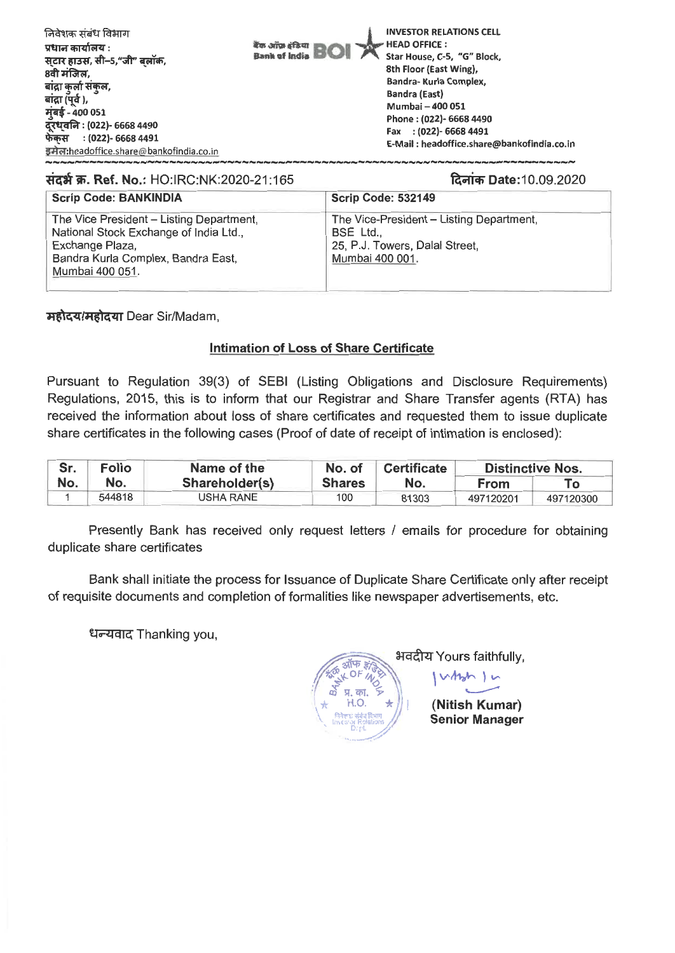| निवेशक संबंध विभाग<br>बैंक ऑफ़ इंडिया<br>प्रधान कार्यालय :<br><b>Bank of India</b><br>स्टार हाउस, सी–5,"जी" बलॉक,<br>8वी मंजिल,<br>बाद्रा कुर्ला संकल,<br>बांद्रा (पूर्व ),<br>मुंबई - 400 051<br>दूरध्वनि : (022)- 6668 4490<br>फेकस: (022)- 6668 4491<br>इमेल:headoffice.share@bankofindia.co.in | <b>INVESTOR RELATIONS CELL</b><br><b>HEAD OFFICE:</b><br>Star House, C-5, "G" Block,<br>8th Floor (East Wing),<br>Bandra- Kurla Complex,<br><b>Bandra (East)</b><br>Mumbai - 400 051<br>Phone: (022)- 6668 4490<br>Fax : (022)- 6668 4491<br>E-Mail: headoffice.share@bankofindia.co.in |
|----------------------------------------------------------------------------------------------------------------------------------------------------------------------------------------------------------------------------------------------------------------------------------------------------|-----------------------------------------------------------------------------------------------------------------------------------------------------------------------------------------------------------------------------------------------------------------------------------------|
|----------------------------------------------------------------------------------------------------------------------------------------------------------------------------------------------------------------------------------------------------------------------------------------------------|-----------------------------------------------------------------------------------------------------------------------------------------------------------------------------------------------------------------------------------------------------------------------------------------|

## **\*At W. Ref. No.: HO:IRC:NK:2020-21:165** %much Date:10.09.2020

| <b>Scrip Code: BANKINDIA</b>                                                                                                                                   | <b>Scrip Code: 532149</b>                                                                                  |
|----------------------------------------------------------------------------------------------------------------------------------------------------------------|------------------------------------------------------------------------------------------------------------|
| The Vice President - Listing Department,<br>National Stock Exchange of India Ltd.,<br>Exchange Plaza,<br>Bandra Kurla Complex, Bandra East,<br>Mumbai 400 051. | The Vice-President - Listing Department,<br>BSE Ltd.,<br>25, P.J. Towers, Dalal Street,<br>Mumbai 400 001. |

**महोदय/महोदया Dear Sir/Madam,** 

## **Intimation of Loss of Share Certificate**

Pursuant to Regulation 39(3) of SEBI (Listing Obligations and Disclosure Requirements) Regulations, 2015, this is to inform that our Registrar and Share Transfer agents (RTA) has received the information about loss of share certificates and requested them to issue duplicate share certificates in the following cases (Proof of date of receipt of intimation is enclosed):

| Sr. | Folio  | Name of the    | No. of        | <b>Certificate</b> | <b>Distinctive Nos.</b> |           |
|-----|--------|----------------|---------------|--------------------|-------------------------|-----------|
| No. | No.    | Shareholder(s) | <b>Shares</b> | No.                | <b>From</b>             |           |
|     | 544818 | USHA RANE      | 100           | 81303              | 497120201               | 497120300 |

Presently Bank has received only request letters / emails for procedure for obtaining duplicate share certificates

Bank shall initiate the process for Issuance of Duplicate Share Certificate only after receipt of requisite documents and completion of formalities like newspaper advertisements, etc.

**<sup>C</sup>-17-7:17g** Thanking you,

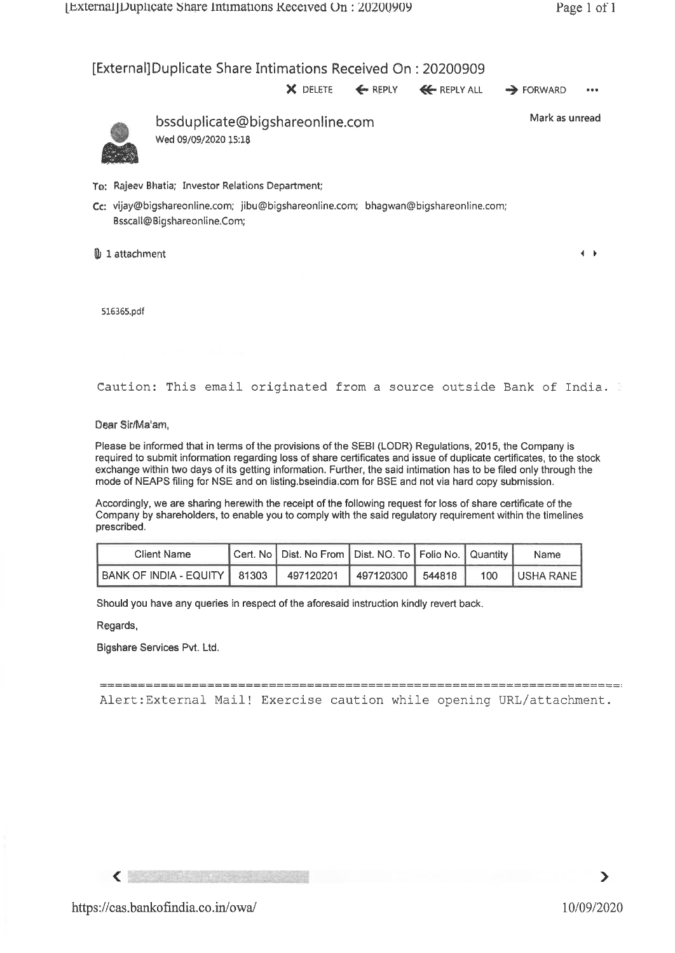## [External]Duplicate Share Intimations Received On : 20200909

**X** DELETE **4.** REPLY 4E• REPLY ALL FORWARD •••



bssduplicate@bigshareonline.com Wed 09/09/2020 15:18

Mark as unread

 $\leftarrow$ 

- To: Rajeev Bhatia; Investor Relations Department;
- Cc: vijay@bigshareonline.com; jibu@bigshareonline.com; bhagwan©bigshareonline.com; Bsscall©Bigshareonline.Com;

**1** 1 attachment

516365.pdf

Caution: This email originated from a source outside Bank of India.

Dear Sir/Ma'am,

Please be informed that in terms of the provisions of the SEBI (LODR) Regulations, 2015, the Company is required to submit information regarding loss of share certificates and issue of duplicate certificates, to the stock exchange within two days of its getting information. Further, the said intimation has to be filed only through the mode of NEAPS filing for NSE and on listing.bseindia.com for BSE and not via hard copy submission.

Accordingly, we are sharing herewith the receipt of the following request for loss of share certificate of the Company by shareholders, to enable you to comply with the said regulatory requirement within the timelines prescribed.

| prescribed.            |       |                                                                |           |        |     |           |  |
|------------------------|-------|----------------------------------------------------------------|-----------|--------|-----|-----------|--|
| Client Name            |       | Cert. No   Dist. No From   Dist. NO. To   Folio No.   Quantity |           |        |     | Name      |  |
| BANK OF INDIA - EQUITY | 81303 | 497120201                                                      | 497120300 | 544818 | 100 | USHA RANE |  |

Should you have any queries in respect of the aforesaid instruction kindly revert back.

Regards,

Bigshare Services Pvt. Ltd.

Alert:External Mail! Exercise caution while opening URL/attachment.

 $\langle$  .

 $\blacktriangleright$